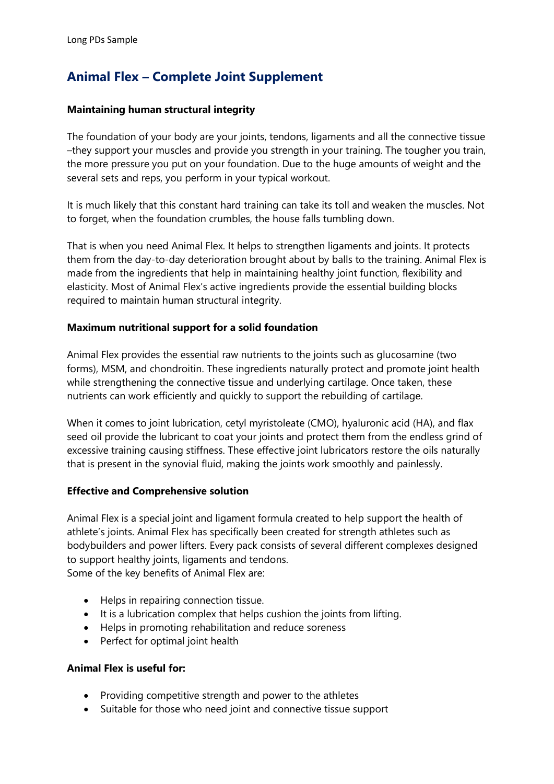# **Animal Flex – Complete Joint Supplement**

#### **Maintaining human structural integrity**

The foundation of your body are your joints, tendons, ligaments and all the connective tissue –they support your muscles and provide you strength in your training. The tougher you train, the more pressure you put on your foundation. Due to the huge amounts of weight and the several sets and reps, you perform in your typical workout.

It is much likely that this constant hard training can take its toll and weaken the muscles. Not to forget, when the foundation crumbles, the house falls tumbling down.

That is when you need Animal Flex. It helps to strengthen ligaments and joints. It protects them from the day-to-day deterioration brought about by balls to the training. Animal Flex is made from the ingredients that help in maintaining healthy joint function, flexibility and elasticity. Most of Animal Flex's active ingredients provide the essential building blocks required to maintain human structural integrity.

#### **Maximum nutritional support for a solid foundation**

Animal Flex provides the essential raw nutrients to the joints such as glucosamine (two forms), MSM, and chondroitin. These ingredients naturally protect and promote joint health while strengthening the connective tissue and underlying cartilage. Once taken, these nutrients can work efficiently and quickly to support the rebuilding of cartilage.

When it comes to joint lubrication, cetyl myristoleate (CMO), hyaluronic acid (HA), and flax seed oil provide the lubricant to coat your joints and protect them from the endless grind of excessive training causing stiffness. These effective joint lubricators restore the oils naturally that is present in the synovial fluid, making the joints work smoothly and painlessly.

#### **Effective and Comprehensive solution**

Animal Flex is a special joint and ligament formula created to help support the health of athlete's joints. Animal Flex has specifically been created for strength athletes such as bodybuilders and power lifters. Every pack consists of several different complexes designed to support healthy joints, ligaments and tendons. Some of the key benefits of Animal Flex are:

- Helps in repairing connection tissue.
- It is a lubrication complex that helps cushion the joints from lifting.
- Helps in promoting rehabilitation and reduce soreness
- Perfect for optimal joint health

#### **Animal Flex is useful for:**

- Providing competitive strength and power to the athletes
- Suitable for those who need joint and connective tissue support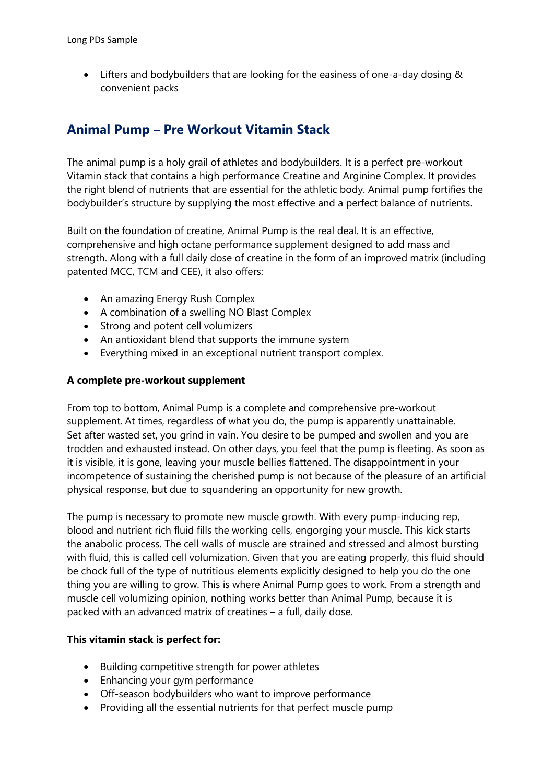• Lifters and bodybuilders that are looking for the easiness of one-a-day dosing & convenient packs

## **Animal Pump – Pre Workout Vitamin Stack**

The animal pump is a holy grail of athletes and bodybuilders. It is a perfect pre-workout Vitamin stack that contains a high performance Creatine and Arginine Complex. It provides the right blend of nutrients that are essential for the athletic body. Animal pump fortifies the bodybuilder's structure by supplying the most effective and a perfect balance of nutrients.

Built on the foundation of creatine, Animal Pump is the real deal. It is an effective, comprehensive and high octane performance supplement designed to add mass and strength. Along with a full daily dose of creatine in the form of an improved matrix (including patented MCC, TCM and CEE), it also offers:

- An amazing Energy Rush Complex
- A combination of a swelling NO Blast Complex
- Strong and potent cell volumizers
- An antioxidant blend that supports the immune system
- Everything mixed in an exceptional nutrient transport complex.

#### **A complete pre-workout supplement**

From top to bottom, Animal Pump is a complete and comprehensive pre-workout supplement. At times, regardless of what you do, the pump is apparently unattainable. Set after wasted set, you grind in vain. You desire to be pumped and swollen and you are trodden and exhausted instead. On other days, you feel that the pump is fleeting. As soon as it is visible, it is gone, leaving your muscle bellies flattened. The disappointment in your incompetence of sustaining the cherished pump is not because of the pleasure of an artificial physical response, but due to squandering an opportunity for new growth.

The pump is necessary to promote new muscle growth. With every pump-inducing rep, blood and nutrient rich fluid fills the working cells, engorging your muscle. This kick starts the anabolic process. The cell walls of muscle are strained and stressed and almost bursting with fluid, this is called cell volumization. Given that you are eating properly, this fluid should be chock full of the type of nutritious elements explicitly designed to help you do the one thing you are willing to grow. This is where Animal Pump goes to work. From a strength and muscle cell volumizing opinion, nothing works better than Animal Pump, because it is packed with an advanced matrix of creatines – a full, daily dose.

#### **This vitamin stack is perfect for:**

- Building competitive strength for power athletes
- Enhancing your gym performance
- Off-season bodybuilders who want to improve performance
- Providing all the essential nutrients for that perfect muscle pump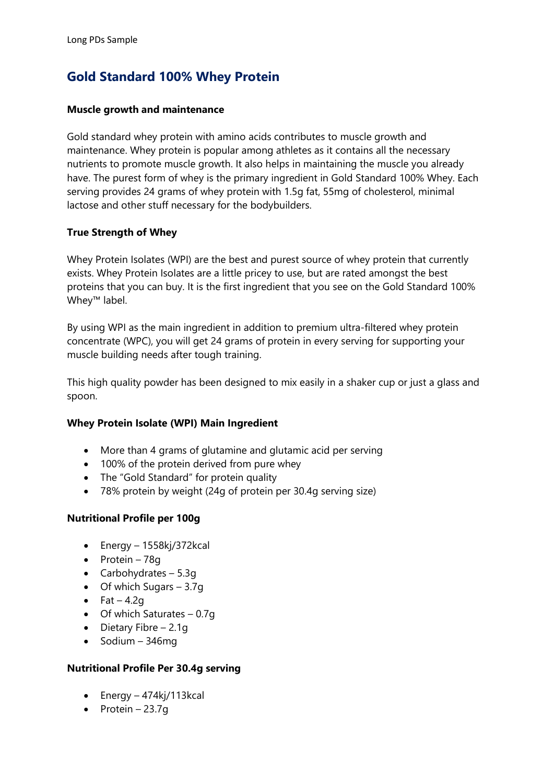# **Gold Standard 100% Whey Protein**

#### **Muscle growth and maintenance**

Gold standard whey protein with amino acids contributes to muscle growth and maintenance. Whey protein is popular among athletes as it contains all the necessary nutrients to promote muscle growth. It also helps in maintaining the muscle you already have. The purest form of whey is the primary ingredient in Gold Standard 100% Whey. Each serving provides 24 grams of whey protein with 1.5g fat, 55mg of cholesterol, minimal lactose and other stuff necessary for the bodybuilders.

#### **True Strength of Whey**

Whey Protein Isolates (WPI) are the best and purest source of whey protein that currently exists. Whey Protein Isolates are a little pricey to use, but are rated amongst the best proteins that you can buy. It is the first ingredient that you see on the Gold Standard 100% Whey™ label.

By using WPI as the main ingredient in addition to premium ultra-filtered whey protein concentrate (WPC), you will get 24 grams of protein in every serving for supporting your muscle building needs after tough training.

This high quality powder has been designed to mix easily in a shaker cup or just a glass and spoon.

#### **Whey Protein Isolate (WPI) Main Ingredient**

- More than 4 grams of glutamine and glutamic acid per serving
- 100% of the protein derived from pure whey
- The "Gold Standard" for protein quality
- 78% protein by weight (24g of protein per 30.4g serving size)

#### **Nutritional Profile per 100g**

- Energy 1558kj/372kcal
- Protein 78g
- Carbohydrates  $-5.3q$
- $\bullet$  Of which Sugars 3.7g
- Fat  $-4.2q$
- Of which Saturates  $-0.7q$
- Dietary Fibre 2.1g
- Sodium 346mg

#### **Nutritional Profile Per 30.4g serving**

- Energy 474kj/113kcal
- Protein  $23.7g$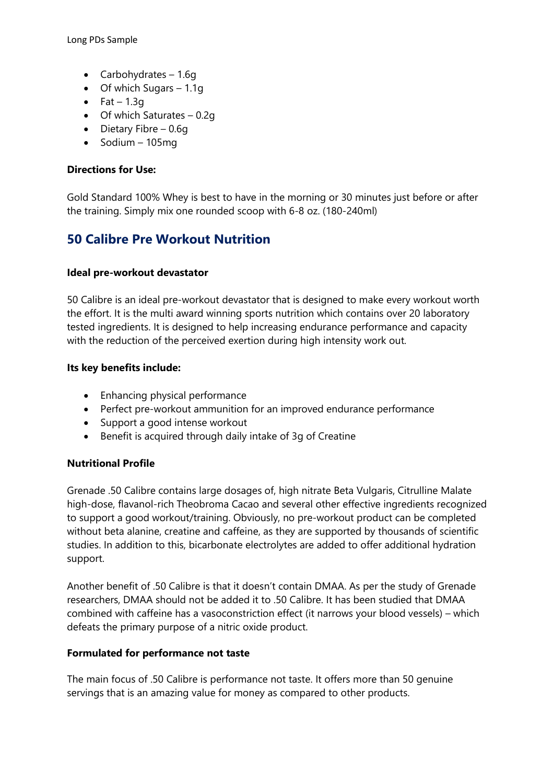Long PDs Sample

- Carbohydrates  $-1.6q$
- Of which Sugars 1.1g
- Fat  $1.3q$
- Of which Saturates 0.2g
- Dietary Fibre 0.6g
- $\bullet$  Sodium 105mg

#### **Directions for Use:**

Gold Standard 100% Whey is best to have in the morning or 30 minutes just before or after the training. Simply mix one rounded scoop with 6-8 oz. (180-240ml)

### **50 Calibre Pre Workout Nutrition**

#### **Ideal pre-workout devastator**

50 Calibre is an ideal pre-workout devastator that is designed to make every workout worth the effort. It is the multi award winning sports nutrition which contains over 20 laboratory tested ingredients. It is designed to help increasing endurance performance and capacity with the reduction of the perceived exertion during high intensity work out.

#### **Its key benefits include:**

- Enhancing physical performance
- Perfect pre-workout ammunition for an improved endurance performance
- Support a good intense workout
- Benefit is acquired through daily intake of 3g of Creatine

#### **Nutritional Profile**

Grenade .50 Calibre contains large dosages of, high nitrate Beta Vulgaris, Citrulline Malate high-dose, flavanol-rich Theobroma Cacao and several other effective ingredients recognized to support a good workout/training. Obviously, no pre-workout product can be completed without beta alanine, creatine and caffeine, as they are supported by thousands of scientific studies. In addition to this, bicarbonate electrolytes are added to offer additional hydration support.

Another benefit of .50 Calibre is that it doesn't contain DMAA. As per the study of Grenade researchers, DMAA should not be added it to .50 Calibre. It has been studied that DMAA combined with caffeine has a vasoconstriction effect (it narrows your blood vessels) – which defeats the primary purpose of a nitric oxide product.

#### **Formulated for performance not taste**

The main focus of .50 Calibre is performance not taste. It offers more than 50 genuine servings that is an amazing value for money as compared to other products.